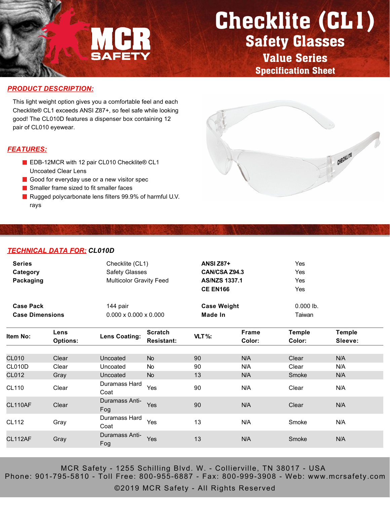

## Checklite (CL1) Safety Glasses

Value Series Specification Sheet

#### *PRODUCT DESCRIPTION:*

This light weight option gives you a comfortable feel and each Checklite® CL1 exceeds ANSI Z87+, so feel safe while looking good! The CL010D features a dispenser box containing 12 pair of CL010 eyewear.

#### *FEATURES:*

- EDB-12MCR with 12 pair CL010 Checklite® CL1 Uncoated Clear Lens
- Good for everyday use or a new visitor spec
- Smaller frame sized to fit smaller faces
- Rugged polycarbonate lens filters 99.9% of harmful U.V. rays



#### *TECHNICAL DATA FOR: CL010D*

| <b>Series</b><br>Category<br>Packaging     |                         | Checklite (CL1)<br><b>Safety Glasses</b><br><b>Multicolor Gravity Feed</b> |                                     | <b>ANSI Z87+</b><br>CAN/CSA Z94.3<br><b>AS/NZS 1337.1</b><br><b>CE EN166</b> |                 | Yes<br>Yes<br>Yes<br>Yes |                          |
|--------------------------------------------|-------------------------|----------------------------------------------------------------------------|-------------------------------------|------------------------------------------------------------------------------|-----------------|--------------------------|--------------------------|
| <b>Case Pack</b><br><b>Case Dimensions</b> |                         | 144 pair<br>$0.000 \times 0.000 \times 0.000$                              |                                     | <b>Case Weight</b><br>Made In                                                |                 | $0.000$ lb.<br>Taiwan    |                          |
| ltem No:                                   | Lens<br><b>Options:</b> | <b>Lens Coating:</b>                                                       | <b>Scratch</b><br><b>Resistant:</b> | VLT%:                                                                        | Frame<br>Color: | <b>Temple</b><br>Color:  | <b>Temple</b><br>Sleeve: |
| <b>CL010</b><br>CL010D                     | Clear<br>Clear          | Uncoated<br>Uncoated                                                       | <b>No</b><br>No.                    | 90<br>90                                                                     | N/A<br>N/A      | Clear<br>Clear           | N/A<br>N/A               |
| CL012<br>CL110                             | Gray<br>Clear           | Uncoated<br>Duramass Hard<br>Coat                                          | <b>No</b><br>Yes                    | 13<br>90                                                                     | N/A<br>N/A      | Smoke<br>Clear           | N/A<br>N/A               |
| <b>CL110AF</b>                             | Clear                   | Duramass Anti-<br>Fog                                                      | Yes                                 | 90                                                                           | N/A             | Clear                    | N/A                      |
| <b>CL112</b>                               | Gray                    | Duramass Hard<br>Coat                                                      | Yes                                 | 13                                                                           | N/A             | Smoke                    | N/A                      |
| CL112AF                                    | Gray                    | Duramass Anti-<br>Fog                                                      | Yes                                 | 13                                                                           | N/A             | Smoke                    | N/A                      |

MCR Safety - 1255 Schilling Blvd. W. - Collierville, TN 38017 - USA Phone: 901-795-5810 - Toll Free: 800-955-6887 - Fax: 800-999-3908 - Web: www.mcrsafety.com

©2019 MCR Safety - All Rights Reserved